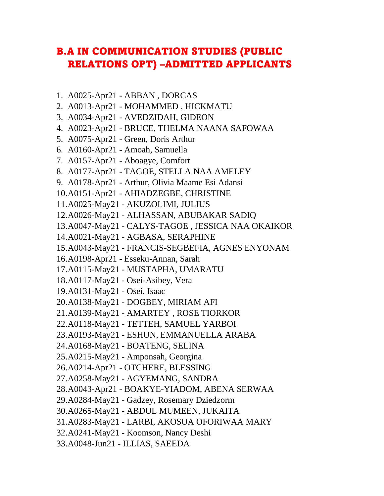## **B.A IN COMMUNICATION STUDIES (PUBLIC RELATIONS OPT) -ADMITTED APPLICANTS**

- 1. A0025-Apr21 ABBAN, DORCAS
- 2. A0013-Apr21 MOHAMMED, HICKMATU
- 3. A0034-Apr21 AVEDZIDAH, GIDEON
- 4. A0023-Apr21 BRUCE, THELMA NAANA SAFOWAA
- 5. A0075-Apr21 Green, Doris Arthur
- 6. A0160-Apr21 Amoah, Samuella
- 7. A0157-Apr21 Aboagye, Comfort
- 8. A0177-Apr21 TAGOE, STELLA NAA AMELEY
- 9. A0178-Apr21 Arthur, Olivia Maame Esi Adansi
- 10.A0151-Apr21 AHIADZEGBE, CHRISTINE
- 11.A0025-May21 AKUZOLIMI, JULIUS
- 12.A0026-May21 ALHASSAN, ABUBAKAR SADIQ
- 13.A0047-May21 CALYS-TAGOE, JESSICA NAA OKAIKOR
- 14.A0021-May21 AGBASA, SERAPHINE
- 15.A0043-May21 FRANCIS-SEGBEFIA, AGNES ENYONAM
- 16.A0198-Apr21 Esseku-Annan, Sarah
- 17.A0115-May21 MUSTAPHA, UMARATU
- 18.A0117-May21 Osei-Asibey, Vera
- 19.A0131-May21 Osei, Isaac
- 20.A0138-May21 DOGBEY, MIRIAM AFI
- 21.A0139-May21 AMARTEY, ROSE TIORKOR
- 22.A0118-May21 TETTEH, SAMUEL YARBOI
- 23.A0193-May21 ESHUN, EMMANUELLA ARABA
- 24.A0168-May21 BOATENG, SELINA
- 25.A0215-May21 Amponsah, Georgina
- 26.A0214-Apr21 OTCHERE, BLESSING
- 27.A0258-May21 AGYEMANG, SANDRA
- 28.A0043-Apr21 BOAKYE-YIADOM, ABENA SERWAA
- 29.A0284-May21 Gadzey, Rosemary Dziedzorm
- 30.A0265-May21 ABDUL MUMEEN, JUKAITA
- 31.A0283-May21 LARBI, AKOSUA OFORIWAA MARY
- 32.A0241-May21 Koomson, Nancy Deshi
- 33.A0048-Jun21 ILLIAS, SAEEDA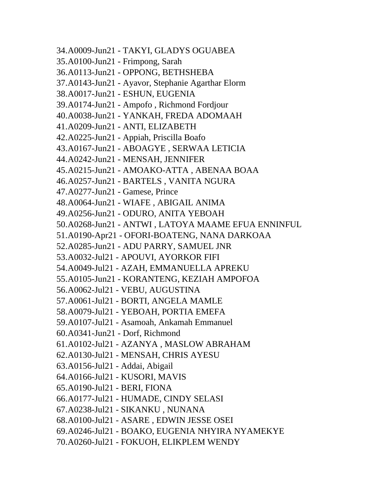34.A0009-Jun21 - TAKYI, GLADYS OGUABEA 35.A0100-Jun21 - Frimpong, Sarah 36.A0113-Jun21 - OPPONG, BETHSHEBA 37.A0143-Jun21 - Ayavor, Stephanie Agarthar Elorm 38.A0017-Jun21 - ESHUN, EUGENIA 39.A0174-Jun21 - Ampofo , Richmond Fordjour 40.A0038-Jun21 - YANKAH, FREDA ADOMAAH 41.A0209-Jun21 - ANTI, ELIZABETH 42.A0225-Jun21 - Appiah, Priscilla Boafo 43.A0167-Jun21 - ABOAGYE , SERWAA LETICIA 44.A0242-Jun21 - MENSAH, JENNIFER 45.A0215-Jun21 - AMOAKO-ATTA , ABENAA BOAA 46.A0257-Jun21 - BARTELS , VANITA NGURA 47.A0277-Jun21 - Gamese, Prince 48.A0064-Jun21 - WIAFE , ABIGAIL ANIMA 49.A0256-Jun21 - ODURO, ANITA YEBOAH 50.A0268-Jun21 - ANTWI , LATOYA MAAME EFUA ENNINFUL 51.A0190-Apr21 - OFORI-BOATENG, NANA DARKOAA 52.A0285-Jun21 - ADU PARRY, SAMUEL JNR 53.A0032-Jul21 - APOUVI, AYORKOR FIFI 54.A0049-Jul21 - AZAH, EMMANUELLA APREKU 55.A0105-Jun21 - KORANTENG, KEZIAH AMPOFOA 56.A0062-Jul21 - VEBU, AUGUSTINA 57.A0061-Jul21 - BORTI, ANGELA MAMLE 58.A0079-Jul21 - YEBOAH, PORTIA EMEFA 59.A0107-Jul21 - Asamoah, Ankamah Emmanuel 60.A0341-Jun21 - Dorf, Richmond 61.A0102-Jul21 - AZANYA , MASLOW ABRAHAM 62.A0130-Jul21 - MENSAH, CHRIS AYESU 63.A0156-Jul21 - Addai, Abigail 64.A0166-Jul21 - KUSORI, MAVIS 65.A0190-Jul21 - BERI, FIONA 66.A0177-Jul21 - HUMADE, CINDY SELASI 67.A0238-Jul21 - SIKANKU , NUNANA 68.A0100-Jul21 - ASARE , EDWIN JESSE OSEI 69.A0246-Jul21 - BOAKO, EUGENIA NHYIRA NYAMEKYE 70.A0260-Jul21 - FOKUOH, ELIKPLEM WENDY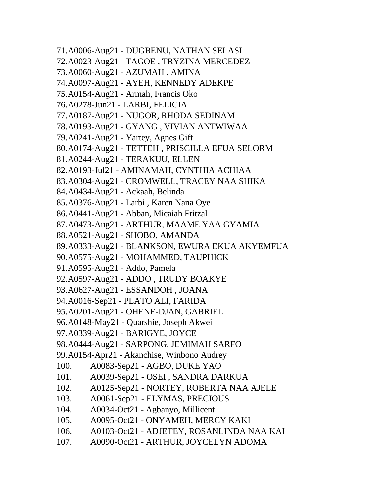71.A0006-Aug21 - DUGBENU, NATHAN SELASI 72.A0023-Aug21 - TAGOE , TRYZINA MERCEDEZ 73.A0060-Aug21 - AZUMAH , AMINA 74.A0097-Aug21 - AYEH, KENNEDY ADEKPE 75.A0154-Aug21 - Armah, Francis Oko 76.A0278-Jun21 - LARBI, FELICIA 77.A0187-Aug21 - NUGOR, RHODA SEDINAM 78.A0193-Aug21 - GYANG , VIVIAN ANTWIWAA 79.A0241-Aug21 - Yartey, Agnes Gift 80.A0174-Aug21 - TETTEH , PRISCILLA EFUA SELORM 81.A0244-Aug21 - TERAKUU, ELLEN 82.A0193-Jul21 - AMINAMAH, CYNTHIA ACHIAA 83.A0304-Aug21 - CROMWELL, TRACEY NAA SHIKA 84.A0434-Aug21 - Ackaah, Belinda 85.A0376-Aug21 - Larbi , Karen Nana Oye 86.A0441-Aug21 - Abban, Micaiah Fritzal 87.A0473-Aug21 - ARTHUR, MAAME YAA GYAMIA 88.A0521-Aug21 - SHOBO, AMANDA 89.A0333-Aug21 - BLANKSON, EWURA EKUA AKYEMFUA 90.A0575-Aug21 - MOHAMMED, TAUPHICK 91.A0595-Aug21 - Addo, Pamela 92.A0597-Aug21 - ADDO , TRUDY BOAKYE 93.A0627-Aug21 - ESSANDOH , JOANA 94.A0016-Sep21 - PLATO ALI, FARIDA 95.A0201-Aug21 - OHENE-DJAN, GABRIEL 96.A0148-May21 - Quarshie, Joseph Akwei 97.A0339-Aug21 - BARIGYE, JOYCE 98.A0444-Aug21 - SARPONG, JEMIMAH SARFO 99.A0154-Apr21 - Akanchise, Winbono Audrey 100. A0083-Sep21 - AGBO, DUKE YAO 101. A0039-Sep21 - OSEI , SANDRA DARKUA 102. A0125-Sep21 - NORTEY, ROBERTA NAA AJELE 103. A0061-Sep21 - ELYMAS, PRECIOUS 104. A0034-Oct21 - Agbanyo, Millicent 105. A0095-Oct21 - ONYAMEH, MERCY KAKI 106. A0103-Oct21 - ADJETEY, ROSANLINDA NAA KAI 107. A0090-Oct21 - ARTHUR, JOYCELYN ADOMA